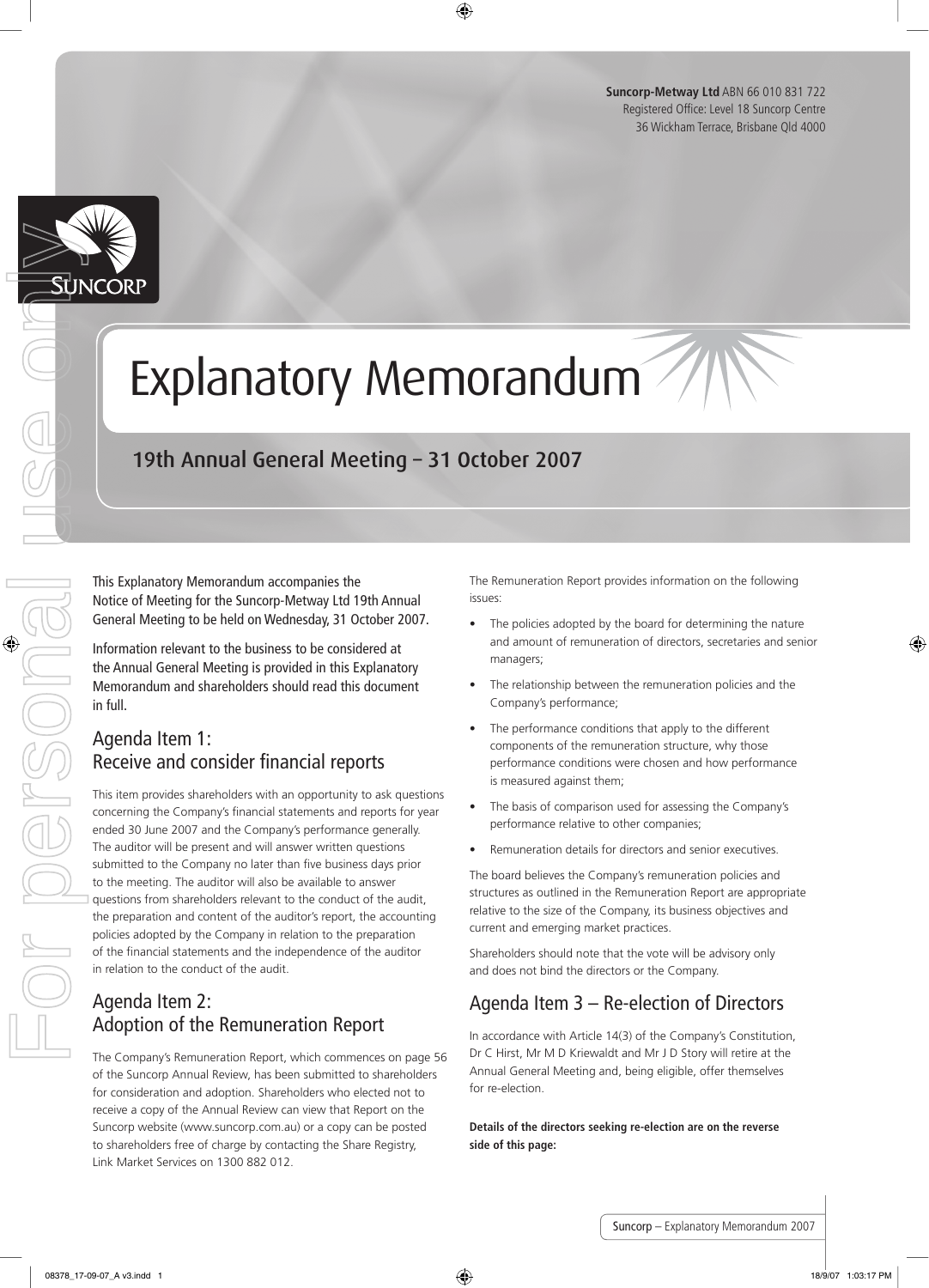**Suncorp-Metway Ltd** ABN 66 010 831 722 Registered Office: Level 18 Suncorp Centre 36 Wickham Terrace, Brisbane Qld 4000



## Explanatory Memorandum

### 19th Annual General Meeting – 31 October 2007

This Explanatory Memorandum accompanies the Notice of Meeting for the Suncorp-Metway Ltd 19th Annual General Meeting to be held on Wednesday, 31 October 2007.

Information relevant to the business to be considered at the Annual General Meeting is provided in this Explanatory Memorandum and shareholders should read this document in full.

#### Agenda Item 1: Receive and consider financial reports

This item provides shareholders with an opportunity to ask questions concerning the Company's financial statements and reports for year ended 30 June 2007 and the Company's performance generally. The auditor will be present and will answer written questions submitted to the Company no later than five business days prior to the meeting. The auditor will also be available to answer questions from shareholders relevant to the conduct of the audit, the preparation and content of the auditor's report, the accounting policies adopted by the Company in relation to the preparation of the financial statements and the independence of the auditor in relation to the conduct of the audit. **EXPLAINED AND CONTROLL CONTROLL CONTROLL CONTROLL CONTROLL CONTROLL CONTROLL CONTROLL CONTROLL CONTROLL CONTROLL CONTROLL CONTROLL CONTROLL CONTROLL CONTROLL CONTROLL CONTROLL CONTROLL CONTROLL CONTROLL CONTROLL CONTROLL** 

#### Agenda Item 2: Adoption of the Remuneration Report

The Company's Remuneration Report, which commences on page 56 of the Suncorp Annual Review, has been submitted to shareholders for consideration and adoption. Shareholders who elected not to receive a copy of the Annual Review can view that Report on the Suncorp website (www.suncorp.com.au) or a copy can be posted to shareholders free of charge by contacting the Share Registry, Link Market Services on 1300 882 012.

The Remuneration Report provides information on the following issues:

- The policies adopted by the board for determining the nature and amount of remuneration of directors, secretaries and senior managers;
- The relationship between the remuneration policies and the Company's performance;
- The performance conditions that apply to the different components of the remuneration structure, why those performance conditions were chosen and how performance is measured against them;
- The basis of comparison used for assessing the Company's performance relative to other companies;
- Remuneration details for directors and senior executives.

The board believes the Company's remuneration policies and structures as outlined in the Remuneration Report are appropriate relative to the size of the Company, its business objectives and current and emerging market practices.

Shareholders should note that the vote will be advisory only and does not bind the directors or the Company.

#### Agenda Item 3 – Re-election of Directors

In accordance with Article 14(3) of the Company's Constitution, Dr C Hirst, Mr M D Kriewaldt and Mr J D Story will retire at the Annual General Meeting and, being eligible, offer themselves for re-election.

**Details of the directors seeking re-election are on the reverse side of this page:**